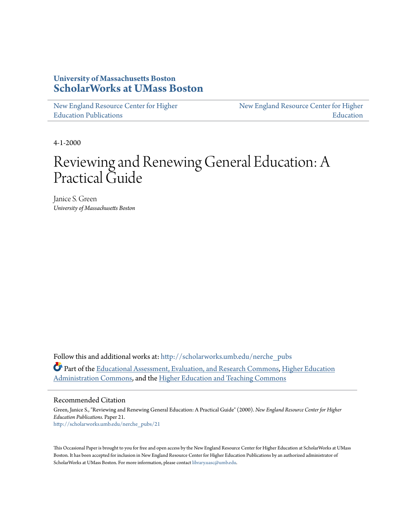### **University of Massachusetts Boston [ScholarWorks at UMass Boston](http://scholarworks.umb.edu?utm_source=scholarworks.umb.edu%2Fnerche_pubs%2F21&utm_medium=PDF&utm_campaign=PDFCoverPages)**

[New England Resource Center for Higher](http://scholarworks.umb.edu/nerche_pubs?utm_source=scholarworks.umb.edu%2Fnerche_pubs%2F21&utm_medium=PDF&utm_campaign=PDFCoverPages) [Education Publications](http://scholarworks.umb.edu/nerche_pubs?utm_source=scholarworks.umb.edu%2Fnerche_pubs%2F21&utm_medium=PDF&utm_campaign=PDFCoverPages)

[New England Resource Center for Higher](http://scholarworks.umb.edu/nerche?utm_source=scholarworks.umb.edu%2Fnerche_pubs%2F21&utm_medium=PDF&utm_campaign=PDFCoverPages) [Education](http://scholarworks.umb.edu/nerche?utm_source=scholarworks.umb.edu%2Fnerche_pubs%2F21&utm_medium=PDF&utm_campaign=PDFCoverPages)

4-1-2000

# Reviewing and Renewing General Education: A Practical Guide

Janice S. Green *University of Massachusetts Boston*

Follow this and additional works at: [http://scholarworks.umb.edu/nerche\\_pubs](http://scholarworks.umb.edu/nerche_pubs?utm_source=scholarworks.umb.edu%2Fnerche_pubs%2F21&utm_medium=PDF&utm_campaign=PDFCoverPages) Part of the [Educational Assessment, Evaluation, and Research Commons,](http://network.bepress.com/hgg/discipline/796?utm_source=scholarworks.umb.edu%2Fnerche_pubs%2F21&utm_medium=PDF&utm_campaign=PDFCoverPages) [Higher Education](http://network.bepress.com/hgg/discipline/791?utm_source=scholarworks.umb.edu%2Fnerche_pubs%2F21&utm_medium=PDF&utm_campaign=PDFCoverPages) [Administration Commons,](http://network.bepress.com/hgg/discipline/791?utm_source=scholarworks.umb.edu%2Fnerche_pubs%2F21&utm_medium=PDF&utm_campaign=PDFCoverPages) and the [Higher Education and Teaching Commons](http://network.bepress.com/hgg/discipline/806?utm_source=scholarworks.umb.edu%2Fnerche_pubs%2F21&utm_medium=PDF&utm_campaign=PDFCoverPages)

#### Recommended Citation

Green, Janice S., "Reviewing and Renewing General Education: A Practical Guide" (2000). *New England Resource Center for Higher Education Publications.* Paper 21. [http://scholarworks.umb.edu/nerche\\_pubs/21](http://scholarworks.umb.edu/nerche_pubs/21?utm_source=scholarworks.umb.edu%2Fnerche_pubs%2F21&utm_medium=PDF&utm_campaign=PDFCoverPages)

This Occasional Paper is brought to you for free and open access by the New England Resource Center for Higher Education at ScholarWorks at UMass Boston. It has been accepted for inclusion in New England Resource Center for Higher Education Publications by an authorized administrator of ScholarWorks at UMass Boston. For more information, please contact [library.uasc@umb.edu](mailto:library.uasc@umb.edu).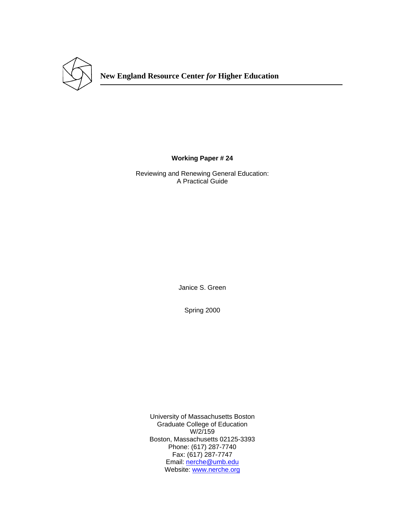

**Working Paper # 24** 

Reviewing and Renewing General Education: A Practical Guide

Janice S. Green

Spring 2000

University of Massachusetts Boston Graduate College of Education W/2/159 Boston, Massachusetts 02125-3393 Phone: (617) 287-7740 Fax: (617) 287-7747 Email: nerche@umb.edu Website: www.nerche.org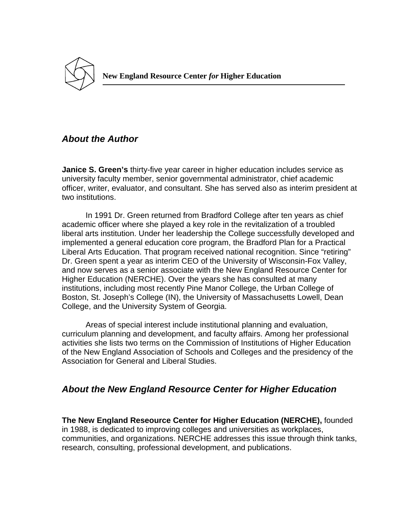

# *About the Author*

**Janice S. Green's** thirty-five year career in higher education includes service as university faculty member, senior governmental administrator, chief academic officer, writer, evaluator, and consultant. She has served also as interim president at two institutions.

 In 1991 Dr. Green returned from Bradford College after ten years as chief academic officer where she played a key role in the revitalization of a troubled liberal arts institution. Under her leadership the College successfully developed and implemented a general education core program, the Bradford Plan for a Practical Liberal Arts Education. That program received national recognition. Since "retiring" Dr. Green spent a year as interim CEO of the University of Wisconsin-Fox Valley, and now serves as a senior associate with the New England Resource Center for Higher Education (NERCHE). Over the years she has consulted at many institutions, including most recently Pine Manor College, the Urban College of Boston, St. Joseph's College (IN), the University of Massachusetts Lowell, Dean College, and the University System of Georgia.

 Areas of special interest include institutional planning and evaluation, curriculum planning and development, and faculty affairs. Among her professional activities she lists two terms on the Commission of Institutions of Higher Education of the New England Association of Schools and Colleges and the presidency of the Association for General and Liberal Studies.

# *About the New England Resource Center for Higher Education*

**The New England Reseource Center for Higher Education (NERCHE),** founded in 1988, is dedicated to improving colleges and universities as workplaces, communities, and organizations. NERCHE addresses this issue through think tanks, research, consulting, professional development, and publications.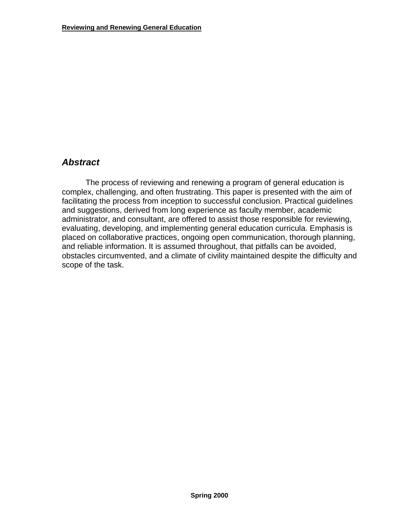### *Abstract*

 The process of reviewing and renewing a program of general education is complex, challenging, and often frustrating. This paper is presented with the aim of facilitating the process from inception to successful conclusion. Practical guidelines and suggestions, derived from long experience as faculty member, academic administrator, and consultant, are offered to assist those responsible for reviewing, evaluating, developing, and implementing general education curricula. Emphasis is placed on collaborative practices, ongoing open communication, thorough planning, and reliable information. It is assumed throughout, that pitfalls can be avoided, obstacles circumvented, and a climate of civility maintained despite the difficulty and scope of the task.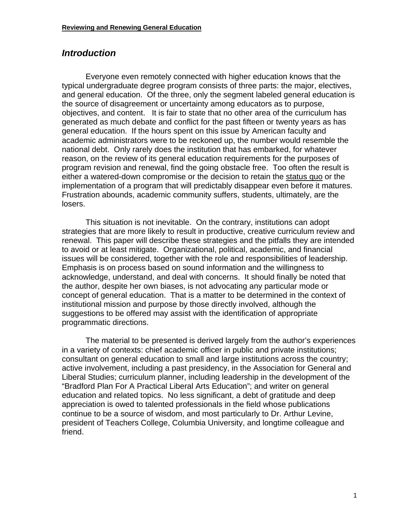### *Introduction*

 Everyone even remotely connected with higher education knows that the typical undergraduate degree program consists of three parts: the major, electives, and general education. Of the three, only the segment labeled general education is the source of disagreement or uncertainty among educators as to purpose, objectives, and content. It is fair to state that no other area of the curriculum has generated as much debate and conflict for the past fifteen or twenty years as has general education. If the hours spent on this issue by American faculty and academic administrators were to be reckoned up, the number would resemble the national debt. Only rarely does the institution that has embarked, for whatever reason, on the review of its general education requirements for the purposes of program revision and renewal, find the going obstacle free. Too often the result is either a watered-down compromise or the decision to retain the status quo or the implementation of a program that will predictably disappear even before it matures. Frustration abounds, academic community suffers, students, ultimately, are the losers.

 This situation is not inevitable. On the contrary, institutions can adopt strategies that are more likely to result in productive, creative curriculum review and renewal. This paper will describe these strategies and the pitfalls they are intended to avoid or at least mitigate. Organizational, political, academic, and financial issues will be considered, together with the role and responsibilities of leadership. Emphasis is on process based on sound information and the willingness to acknowledge, understand, and deal with concerns. It should finally be noted that the author, despite her own biases, is not advocating any particular mode or concept of general education. That is a matter to be determined in the context of institutional mission and purpose by those directly involved, although the suggestions to be offered may assist with the identification of appropriate programmatic directions.

 The material to be presented is derived largely from the author's experiences in a variety of contexts: chief academic officer in public and private institutions; consultant on general education to small and large institutions across the country; active involvement, including a past presidency, in the Association for General and Liberal Studies; curriculum planner, including leadership in the development of the "Bradford Plan For A Practical Liberal Arts Education"; and writer on general education and related topics. No less significant, a debt of gratitude and deep appreciation is owed to talented professionals in the field whose publications continue to be a source of wisdom, and most particularly to Dr. Arthur Levine, president of Teachers College, Columbia University, and longtime colleague and friend.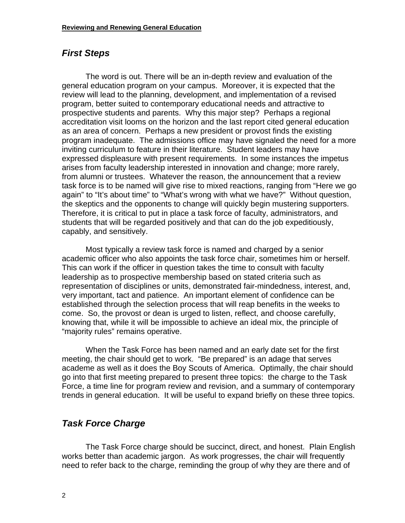### *First Steps*

 The word is out. There will be an in-depth review and evaluation of the general education program on your campus. Moreover, it is expected that the review will lead to the planning, development, and implementation of a revised program, better suited to contemporary educational needs and attractive to prospective students and parents. Why this major step? Perhaps a regional accreditation visit looms on the horizon and the last report cited general education as an area of concern. Perhaps a new president or provost finds the existing program inadequate. The admissions office may have signaled the need for a more inviting curriculum to feature in their literature. Student leaders may have expressed displeasure with present requirements. In some instances the impetus arises from faculty leadership interested in innovation and change; more rarely, from alumni or trustees. Whatever the reason, the announcement that a review task force is to be named will give rise to mixed reactions, ranging from "Here we go again" to "It's about time" to "What's wrong with what we have?" Without question, the skeptics and the opponents to change will quickly begin mustering supporters. Therefore, it is critical to put in place a task force of faculty, administrators, and students that will be regarded positively and that can do the job expeditiously, capably, and sensitively.

 Most typically a review task force is named and charged by a senior academic officer who also appoints the task force chair, sometimes him or herself. This can work if the officer in question takes the time to consult with faculty leadership as to prospective membership based on stated criteria such as representation of disciplines or units, demonstrated fair-mindedness, interest, and, very important, tact and patience. An important element of confidence can be established through the selection process that will reap benefits in the weeks to come. So, the provost or dean is urged to listen, reflect, and choose carefully, knowing that, while it will be impossible to achieve an ideal mix, the principle of "majority rules" remains operative.

 When the Task Force has been named and an early date set for the first meeting, the chair should get to work. "Be prepared" is an adage that serves academe as well as it does the Boy Scouts of America. Optimally, the chair should go into that first meeting prepared to present three topics: the charge to the Task Force, a time line for program review and revision, and a summary of contemporary trends in general education. It will be useful to expand briefly on these three topics.

# *Task Force Charge*

 The Task Force charge should be succinct, direct, and honest. Plain English works better than academic jargon. As work progresses, the chair will frequently need to refer back to the charge, reminding the group of why they are there and of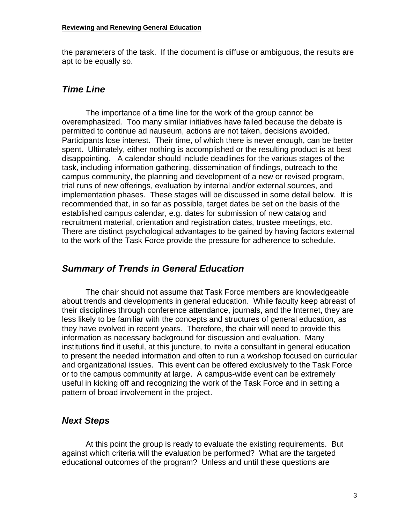the parameters of the task. If the document is diffuse or ambiguous, the results are apt to be equally so.

### *Time Line*

 The importance of a time line for the work of the group cannot be overemphasized. Too many similar initiatives have failed because the debate is permitted to continue ad nauseum, actions are not taken, decisions avoided. Participants lose interest. Their time, of which there is never enough, can be better spent. Ultimately, either nothing is accomplished or the resulting product is at best disappointing. A calendar should include deadlines for the various stages of the task, including information gathering, dissemination of findings, outreach to the campus community, the planning and development of a new or revised program, trial runs of new offerings, evaluation by internal and/or external sources, and implementation phases. These stages will be discussed in some detail below. It is recommended that, in so far as possible, target dates be set on the basis of the established campus calendar, e.g. dates for submission of new catalog and recruitment material, orientation and registration dates, trustee meetings, etc. There are distinct psychological advantages to be gained by having factors external to the work of the Task Force provide the pressure for adherence to schedule.

# *Summary of Trends in General Education*

 The chair should not assume that Task Force members are knowledgeable about trends and developments in general education. While faculty keep abreast of their disciplines through conference attendance, journals, and the Internet, they are less likely to be familiar with the concepts and structures of general education, as they have evolved in recent years. Therefore, the chair will need to provide this information as necessary background for discussion and evaluation. Many institutions find it useful, at this juncture, to invite a consultant in general education to present the needed information and often to run a workshop focused on curricular and organizational issues. This event can be offered exclusively to the Task Force or to the campus community at large. A campus-wide event can be extremely useful in kicking off and recognizing the work of the Task Force and in setting a pattern of broad involvement in the project.

# *Next Steps*

 At this point the group is ready to evaluate the existing requirements. But against which criteria will the evaluation be performed? What are the targeted educational outcomes of the program? Unless and until these questions are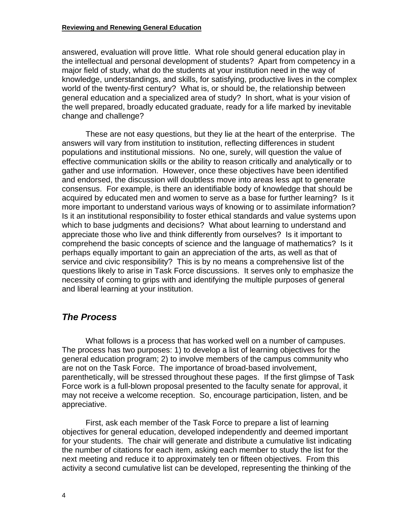answered, evaluation will prove little. What role should general education play in the intellectual and personal development of students? Apart from competency in a major field of study, what do the students at your institution need in the way of knowledge, understandings, and skills, for satisfying, productive lives in the complex world of the twenty-first century? What is, or should be, the relationship between general education and a specialized area of study? In short, what is your vision of the well prepared, broadly educated graduate, ready for a life marked by inevitable change and challenge?

 These are not easy questions, but they lie at the heart of the enterprise. The answers will vary from institution to institution, reflecting differences in student populations and institutional missions. No one, surely, will question the value of effective communication skills or the ability to reason critically and analytically or to gather and use information. However, once these objectives have been identified and endorsed, the discussion will doubtless move into areas less apt to generate consensus. For example, is there an identifiable body of knowledge that should be acquired by educated men and women to serve as a base for further learning? Is it more important to understand various ways of knowing or to assimilate information? Is it an institutional responsibility to foster ethical standards and value systems upon which to base judgments and decisions? What about learning to understand and appreciate those who live and think differently from ourselves? Is it important to comprehend the basic concepts of science and the language of mathematics? Is it perhaps equally important to gain an appreciation of the arts, as well as that of service and civic responsibility? This is by no means a comprehensive list of the questions likely to arise in Task Force discussions. It serves only to emphasize the necessity of coming to grips with and identifying the multiple purposes of general and liberal learning at your institution.

# *The Process*

 What follows is a process that has worked well on a number of campuses. The process has two purposes: 1) to develop a list of learning objectives for the general education program; 2) to involve members of the campus community who are not on the Task Force. The importance of broad-based involvement, parenthetically, will be stressed throughout these pages. If the first glimpse of Task Force work is a full-blown proposal presented to the faculty senate for approval, it may not receive a welcome reception. So, encourage participation, listen, and be appreciative.

 First, ask each member of the Task Force to prepare a list of learning objectives for general education, developed independently and deemed important for your students. The chair will generate and distribute a cumulative list indicating the number of citations for each item, asking each member to study the list for the next meeting and reduce it to approximately ten or fifteen objectives. From this activity a second cumulative list can be developed, representing the thinking of the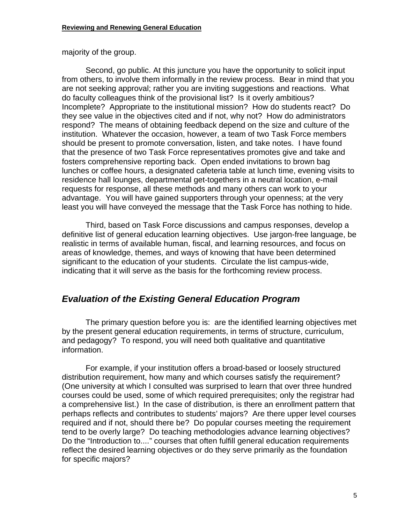majority of the group.

 Second, go public. At this juncture you have the opportunity to solicit input from others, to involve them informally in the review process. Bear in mind that you are not seeking approval; rather you are inviting suggestions and reactions. What do faculty colleagues think of the provisional list? Is it overly ambitious? Incomplete? Appropriate to the institutional mission? How do students react? Do they see value in the objectives cited and if not, why not? How do administrators respond? The means of obtaining feedback depend on the size and culture of the institution. Whatever the occasion, however, a team of two Task Force members should be present to promote conversation, listen, and take notes. I have found that the presence of two Task Force representatives promotes give and take and fosters comprehensive reporting back. Open ended invitations to brown bag lunches or coffee hours, a designated cafeteria table at lunch time, evening visits to residence hall lounges, departmental get-togethers in a neutral location, e-mail requests for response, all these methods and many others can work to your advantage. You will have gained supporters through your openness; at the very least you will have conveyed the message that the Task Force has nothing to hide.

 Third, based on Task Force discussions and campus responses, develop a definitive list of general education learning objectives. Use jargon-free language, be realistic in terms of available human, fiscal, and learning resources, and focus on areas of knowledge, themes, and ways of knowing that have been determined significant to the education of your students. Circulate the list campus-wide, indicating that it will serve as the basis for the forthcoming review process.

### *Evaluation of the Existing General Education Program*

 The primary question before you is: are the identified learning objectives met by the present general education requirements, in terms of structure, curriculum, and pedagogy? To respond, you will need both qualitative and quantitative information.

For example, if your institution offers a broad-based or loosely structured distribution requirement, how many and which courses satisfy the requirement? (One university at which I consulted was surprised to learn that over three hundred courses could be used, some of which required prerequisites; only the registrar had a comprehensive list.) In the case of distribution, is there an enrollment pattern that perhaps reflects and contributes to students' majors? Are there upper level courses required and if not, should there be? Do popular courses meeting the requirement tend to be overly large? Do teaching methodologies advance learning objectives? Do the "Introduction to...." courses that often fulfill general education requirements reflect the desired learning objectives or do they serve primarily as the foundation for specific majors?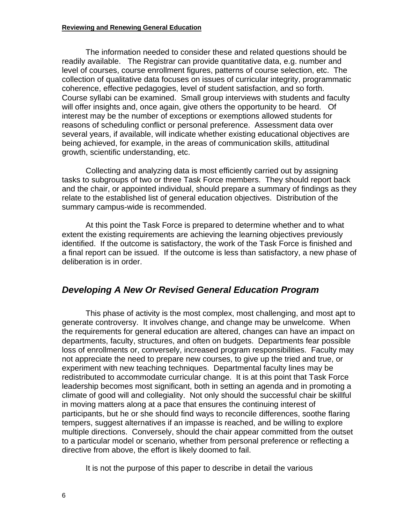#### **Reviewing and Renewing General Education**

 The information needed to consider these and related questions should be readily available. The Registrar can provide quantitative data, e.g. number and level of courses, course enrollment figures, patterns of course selection, etc. The collection of qualitative data focuses on issues of curricular integrity, programmatic coherence, effective pedagogies, level of student satisfaction, and so forth. Course syllabi can be examined. Small group interviews with students and faculty will offer insights and, once again, give others the opportunity to be heard. Of interest may be the number of exceptions or exemptions allowed students for reasons of scheduling conflict or personal preference. Assessment data over several years, if available, will indicate whether existing educational objectives are being achieved, for example, in the areas of communication skills, attitudinal growth, scientific understanding, etc.

 Collecting and analyzing data is most efficiently carried out by assigning tasks to subgroups of two or three Task Force members. They should report back and the chair, or appointed individual, should prepare a summary of findings as they relate to the established list of general education objectives. Distribution of the summary campus-wide is recommended.

 At this point the Task Force is prepared to determine whether and to what extent the existing requirements are achieving the learning objectives previously identified. If the outcome is satisfactory, the work of the Task Force is finished and a final report can be issued. If the outcome is less than satisfactory, a new phase of deliberation is in order.

### *Developing A New Or Revised General Education Program*

 This phase of activity is the most complex, most challenging, and most apt to generate controversy. It involves change, and change may be unwelcome. When the requirements for general education are altered, changes can have an impact on departments, faculty, structures, and often on budgets. Departments fear possible loss of enrollments or, conversely, increased program responsibilities. Faculty may not appreciate the need to prepare new courses, to give up the tried and true, or experiment with new teaching techniques. Departmental faculty lines may be redistributed to accommodate curricular change. It is at this point that Task Force leadership becomes most significant, both in setting an agenda and in promoting a climate of good will and collegiality. Not only should the successful chair be skillful in moving matters along at a pace that ensures the continuing interest of participants, but he or she should find ways to reconcile differences, soothe flaring tempers, suggest alternatives if an impasse is reached, and be willing to explore multiple directions. Conversely, should the chair appear committed from the outset to a particular model or scenario, whether from personal preference or reflecting a directive from above, the effort is likely doomed to fail.

It is not the purpose of this paper to describe in detail the various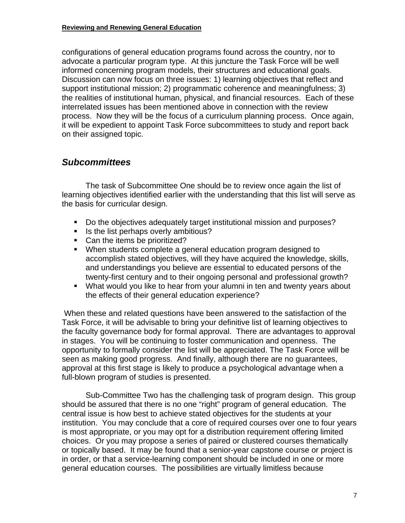configurations of general education programs found across the country, nor to advocate a particular program type. At this juncture the Task Force will be well informed concerning program models, their structures and educational goals. Discussion can now focus on three issues: 1) learning objectives that reflect and support institutional mission; 2) programmatic coherence and meaningfulness; 3) the realities of institutional human, physical, and financial resources. Each of these interrelated issues has been mentioned above in connection with the review process. Now they will be the focus of a curriculum planning process. Once again, it will be expedient to appoint Task Force subcommittees to study and report back on their assigned topic.

# *Subcommittees*

 The task of Subcommittee One should be to review once again the list of learning objectives identified earlier with the understanding that this list will serve as the basis for curricular design.

- Do the objectives adequately target institutional mission and purposes?
- Is the list perhaps overly ambitious?
- Can the items be prioritized?
- When students complete a general education program designed to accomplish stated objectives, will they have acquired the knowledge, skills, and understandings you believe are essential to educated persons of the twenty-first century and to their ongoing personal and professional growth?
- What would you like to hear from your alumni in ten and twenty years about the effects of their general education experience?

 When these and related questions have been answered to the satisfaction of the Task Force, it will be advisable to bring your definitive list of learning objectives to the faculty governance body for formal approval. There are advantages to approval in stages. You will be continuing to foster communication and openness. The opportunity to formally consider the list will be appreciated. The Task Force will be seen as making good progress. And finally, although there are no guarantees, approval at this first stage is likely to produce a psychological advantage when a full-blown program of studies is presented.

 Sub-Committee Two has the challenging task of program design. This group should be assured that there is no one "right" program of general education. The central issue is how best to achieve stated objectives for the students at your institution. You may conclude that a core of required courses over one to four years is most appropriate, or you may opt for a distribution requirement offering limited choices. Or you may propose a series of paired or clustered courses thematically or topically based. It may be found that a senior-year capstone course or project is in order, or that a service-learning component should be included in one or more general education courses. The possibilities are virtually limitless because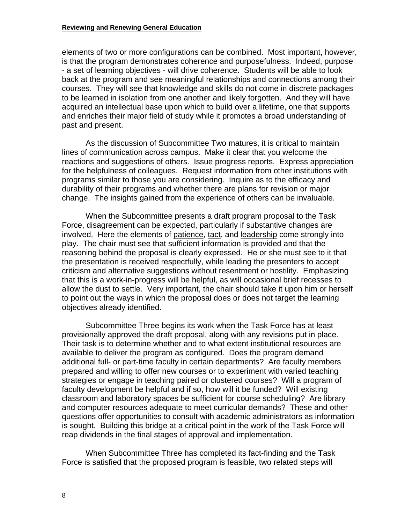#### **Reviewing and Renewing General Education**

elements of two or more configurations can be combined. Most important, however, is that the program demonstrates coherence and purposefulness. Indeed, purpose - a set of learning objectives - will drive coherence. Students will be able to look back at the program and see meaningful relationships and connections among their courses. They will see that knowledge and skills do not come in discrete packages to be learned in isolation from one another and likely forgotten. And they will have acquired an intellectual base upon which to build over a lifetime, one that supports and enriches their major field of study while it promotes a broad understanding of past and present.

 As the discussion of Subcommittee Two matures, it is critical to maintain lines of communication across campus. Make it clear that you welcome the reactions and suggestions of others. Issue progress reports. Express appreciation for the helpfulness of colleagues. Request information from other institutions with programs similar to those you are considering. Inquire as to the efficacy and durability of their programs and whether there are plans for revision or major change. The insights gained from the experience of others can be invaluable.

 When the Subcommittee presents a draft program proposal to the Task Force, disagreement can be expected, particularly if substantive changes are involved. Here the elements of patience, tact, and leadership come strongly into play. The chair must see that sufficient information is provided and that the reasoning behind the proposal is clearly expressed. He or she must see to it that the presentation is received respectfully, while leading the presenters to accept criticism and alternative suggestions without resentment or hostility. Emphasizing that this is a work-in-progress will be helpful, as will occasional brief recesses to allow the dust to settle. Very important, the chair should take it upon him or herself to point out the ways in which the proposal does or does not target the learning objectives already identified.

 Subcommittee Three begins its work when the Task Force has at least provisionally approved the draft proposal, along with any revisions put in place. Their task is to determine whether and to what extent institutional resources are available to deliver the program as configured. Does the program demand additional full- or part-time faculty in certain departments? Are faculty members prepared and willing to offer new courses or to experiment with varied teaching strategies or engage in teaching paired or clustered courses? Will a program of faculty development be helpful and if so, how will it be funded? Will existing classroom and laboratory spaces be sufficient for course scheduling? Are library and computer resources adequate to meet curricular demands? These and other questions offer opportunities to consult with academic administrators as information is sought. Building this bridge at a critical point in the work of the Task Force will reap dividends in the final stages of approval and implementation.

 When Subcommittee Three has completed its fact-finding and the Task Force is satisfied that the proposed program is feasible, two related steps will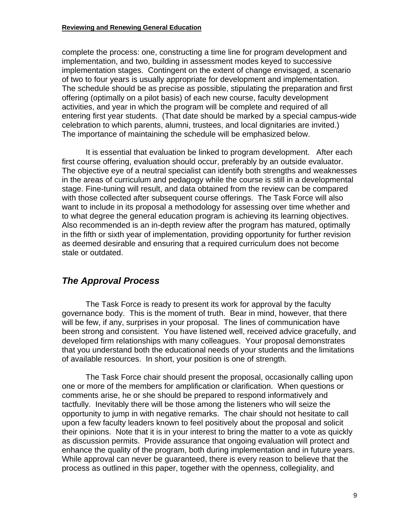#### **Reviewing and Renewing General Education**

complete the process: one, constructing a time line for program development and implementation, and two, building in assessment modes keyed to successive implementation stages. Contingent on the extent of change envisaged, a scenario of two to four years is usually appropriate for development and implementation. The schedule should be as precise as possible, stipulating the preparation and first offering (optimally on a pilot basis) of each new course, faculty development activities, and year in which the program will be complete and required of all entering first year students. (That date should be marked by a special campus-wide celebration to which parents, alumni, trustees, and local dignitaries are invited.) The importance of maintaining the schedule will be emphasized below.

 It is essential that evaluation be linked to program development. After each first course offering, evaluation should occur, preferably by an outside evaluator. The objective eye of a neutral specialist can identify both strengths and weaknesses in the areas of curriculum and pedagogy while the course is still in a developmental stage. Fine-tuning will result, and data obtained from the review can be compared with those collected after subsequent course offerings. The Task Force will also want to include in its proposal a methodology for assessing over time whether and to what degree the general education program is achieving its learning objectives. Also recommended is an in-depth review after the program has matured, optimally in the fifth or sixth year of implementation, providing opportunity for further revision as deemed desirable and ensuring that a required curriculum does not become stale or outdated.

# *The Approval Process*

 The Task Force is ready to present its work for approval by the faculty governance body. This is the moment of truth. Bear in mind, however, that there will be few, if any, surprises in your proposal. The lines of communication have been strong and consistent. You have listened well, received advice gracefully, and developed firm relationships with many colleagues. Your proposal demonstrates that you understand both the educational needs of your students and the limitations of available resources. In short, your position is one of strength.

 The Task Force chair should present the proposal, occasionally calling upon one or more of the members for amplification or clarification. When questions or comments arise, he or she should be prepared to respond informatively and tactfully. Inevitably there will be those among the listeners who will seize the opportunity to jump in with negative remarks. The chair should not hesitate to call upon a few faculty leaders known to feel positively about the proposal and solicit their opinions. Note that it is in your interest to bring the matter to a vote as quickly as discussion permits. Provide assurance that ongoing evaluation will protect and enhance the quality of the program, both during implementation and in future years. While approval can never be guaranteed, there is every reason to believe that the process as outlined in this paper, together with the openness, collegiality, and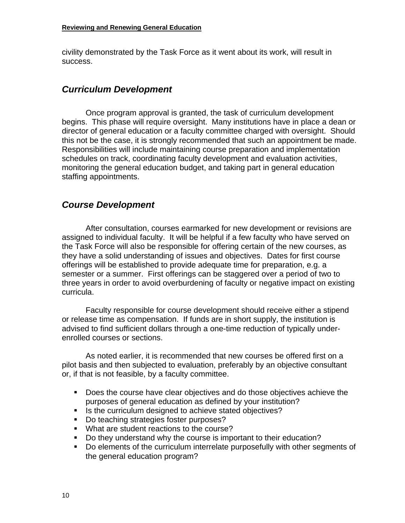civility demonstrated by the Task Force as it went about its work, will result in success.

### *Curriculum Development*

 Once program approval is granted, the task of curriculum development begins. This phase will require oversight. Many institutions have in place a dean or director of general education or a faculty committee charged with oversight. Should this not be the case, it is strongly recommended that such an appointment be made. Responsibilities will include maintaining course preparation and implementation schedules on track, coordinating faculty development and evaluation activities, monitoring the general education budget, and taking part in general education staffing appointments.

# *Course Development*

 After consultation, courses earmarked for new development or revisions are assigned to individual faculty. It will be helpful if a few faculty who have served on the Task Force will also be responsible for offering certain of the new courses, as they have a solid understanding of issues and objectives. Dates for first course offerings will be established to provide adequate time for preparation, e.g. a semester or a summer. First offerings can be staggered over a period of two to three years in order to avoid overburdening of faculty or negative impact on existing curricula.

 Faculty responsible for course development should receive either a stipend or release time as compensation. If funds are in short supply, the institution is advised to find sufficient dollars through a one-time reduction of typically underenrolled courses or sections.

 As noted earlier, it is recommended that new courses be offered first on a pilot basis and then subjected to evaluation, preferably by an objective consultant or, if that is not feasible, by a faculty committee.

- Does the course have clear objectives and do those objectives achieve the purposes of general education as defined by your institution?
- Is the curriculum designed to achieve stated objectives?
- Do teaching strategies foster purposes?
- **What are student reactions to the course?**
- Do they understand why the course is important to their education?
- Do elements of the curriculum interrelate purposefully with other segments of the general education program?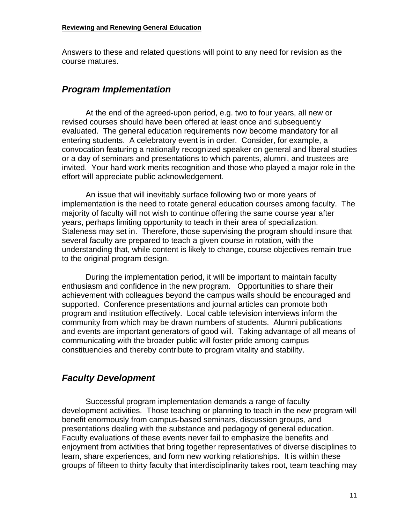Answers to these and related questions will point to any need for revision as the course matures.

# *Program Implementation*

 At the end of the agreed-upon period, e.g. two to four years, all new or revised courses should have been offered at least once and subsequently evaluated. The general education requirements now become mandatory for all entering students. A celebratory event is in order. Consider, for example, a convocation featuring a nationally recognized speaker on general and liberal studies or a day of seminars and presentations to which parents, alumni, and trustees are invited. Your hard work merits recognition and those who played a major role in the effort will appreciate public acknowledgement.

 An issue that will inevitably surface following two or more years of implementation is the need to rotate general education courses among faculty. The majority of faculty will not wish to continue offering the same course year after years, perhaps limiting opportunity to teach in their area of specialization. Staleness may set in. Therefore, those supervising the program should insure that several faculty are prepared to teach a given course in rotation, with the understanding that, while content is likely to change, course objectives remain true to the original program design.

 During the implementation period, it will be important to maintain faculty enthusiasm and confidence in the new program. Opportunities to share their achievement with colleagues beyond the campus walls should be encouraged and supported. Conference presentations and journal articles can promote both program and institution effectively. Local cable television interviews inform the community from which may be drawn numbers of students. Alumni publications and events are important generators of good will. Taking advantage of all means of communicating with the broader public will foster pride among campus constituencies and thereby contribute to program vitality and stability.

# *Faculty Development*

 Successful program implementation demands a range of faculty development activities. Those teaching or planning to teach in the new program will benefit enormously from campus-based seminars, discussion groups, and presentations dealing with the substance and pedagogy of general education. Faculty evaluations of these events never fail to emphasize the benefits and enjoyment from activities that bring together representatives of diverse disciplines to learn, share experiences, and form new working relationships. It is within these groups of fifteen to thirty faculty that interdisciplinarity takes root, team teaching may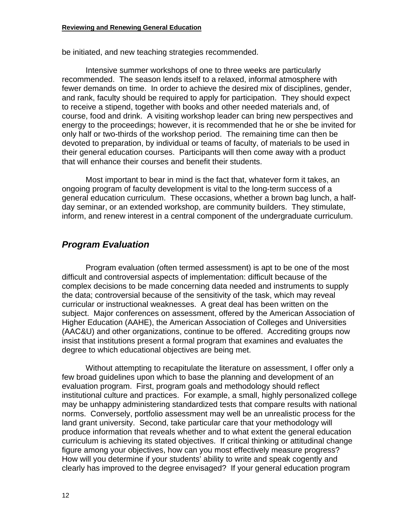be initiated, and new teaching strategies recommended.

 Intensive summer workshops of one to three weeks are particularly recommended. The season lends itself to a relaxed, informal atmosphere with fewer demands on time. In order to achieve the desired mix of disciplines, gender, and rank, faculty should be required to apply for participation. They should expect to receive a stipend, together with books and other needed materials and, of course, food and drink. A visiting workshop leader can bring new perspectives and energy to the proceedings; however, it is recommended that he or she be invited for only half or two-thirds of the workshop period. The remaining time can then be devoted to preparation, by individual or teams of faculty, of materials to be used in their general education courses. Participants will then come away with a product that will enhance their courses and benefit their students.

 Most important to bear in mind is the fact that, whatever form it takes, an ongoing program of faculty development is vital to the long-term success of a general education curriculum. These occasions, whether a brown bag lunch, a halfday seminar, or an extended workshop, are community builders. They stimulate, inform, and renew interest in a central component of the undergraduate curriculum.

### *Program Evaluation*

 Program evaluation (often termed assessment) is apt to be one of the most difficult and controversial aspects of implementation: difficult because of the complex decisions to be made concerning data needed and instruments to supply the data; controversial because of the sensitivity of the task, which may reveal curricular or instructional weaknesses. A great deal has been written on the subject. Major conferences on assessment, offered by the American Association of Higher Education (AAHE), the American Association of Colleges and Universities (AAC&U) and other organizations, continue to be offered. Accrediting groups now insist that institutions present a formal program that examines and evaluates the degree to which educational objectives are being met.

 Without attempting to recapitulate the literature on assessment, I offer only a few broad guidelines upon which to base the planning and development of an evaluation program. First, program goals and methodology should reflect institutional culture and practices. For example, a small, highly personalized college may be unhappy administering standardized tests that compare results with national norms. Conversely, portfolio assessment may well be an unrealistic process for the land grant university. Second, take particular care that your methodology will produce information that reveals whether and to what extent the general education curriculum is achieving its stated objectives. If critical thinking or attitudinal change figure among your objectives, how can you most effectively measure progress? How will you determine if your students' ability to write and speak cogently and clearly has improved to the degree envisaged? If your general education program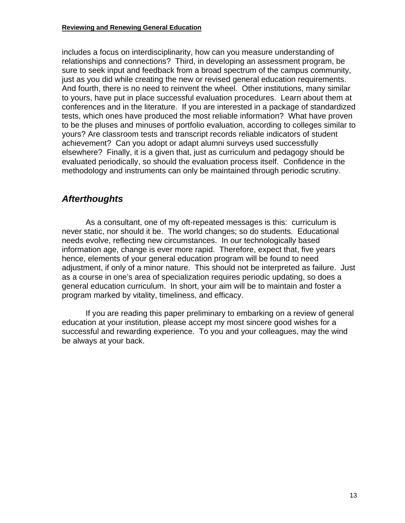includes a focus on interdisciplinarity, how can you measure understanding of relationships and connections? Third, in developing an assessment program, be sure to seek input and feedback from a broad spectrum of the campus community, just as you did while creating the new or revised general education requirements. And fourth, there is no need to reinvent the wheel. Other institutions, many similar to yours, have put in place successful evaluation procedures. Learn about them at conferences and in the literature. If you are interested in a package of standardized tests, which ones have produced the most reliable information? What have proven to be the pluses and minuses of portfolio evaluation, according to colleges similar to yours? Are classroom tests and transcript records reliable indicators of student achievement? Can you adopt or adapt alumni surveys used successfully elsewhere? Finally, it is a given that, just as curriculum and pedagogy should be evaluated periodically, so should the evaluation process itself. Confidence in the methodology and instruments can only be maintained through periodic scrutiny.

# *Afterthoughts*

 As a consultant, one of my oft-repeated messages is this: curriculum is never static, nor should it be. The world changes; so do students. Educational needs evolve, reflecting new circumstances. In our technologically based information age, change is ever more rapid. Therefore, expect that, five years hence, elements of your general education program will be found to need adjustment, if only of a minor nature. This should not be interpreted as failure. Just as a course in one's area of specialization requires periodic updating, so does a general education curriculum. In short, your aim will be to maintain and foster a program marked by vitality, timeliness, and efficacy.

 If you are reading this paper preliminary to embarking on a review of general education at your institution, please accept my most sincere good wishes for a successful and rewarding experience. To you and your colleagues, may the wind be always at your back.